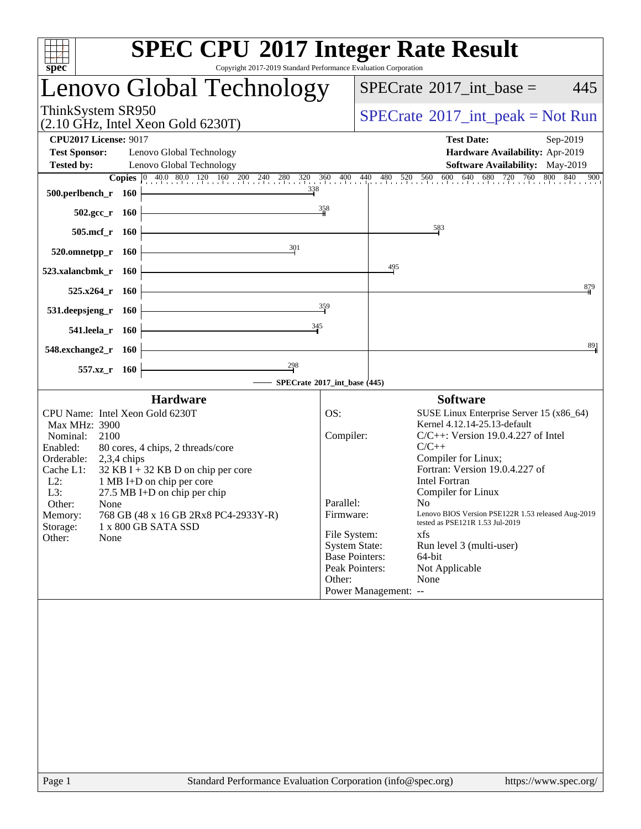| <b>SPEC CPU®2017 Integer Rate Result</b><br>Copyright 2017-2019 Standard Performance Evaluation Corporation<br>spec <sup>®</sup>                                                                                   |                                               |                                                                                       |
|--------------------------------------------------------------------------------------------------------------------------------------------------------------------------------------------------------------------|-----------------------------------------------|---------------------------------------------------------------------------------------|
| Lenovo Global Technology                                                                                                                                                                                           |                                               | $SPECTate$ <sup>®</sup> 2017_int_base =<br>445                                        |
| ThinkSystem SR950<br>$(2.10 \text{ GHz}, \text{Intel Xeon Gold } 6230 \text{T})$                                                                                                                                   |                                               | $SPECrate^{\circledast}2017\_int\_peak = Not Run$                                     |
| <b>CPU2017 License: 9017</b>                                                                                                                                                                                       |                                               | <b>Test Date:</b><br>Sep-2019                                                         |
| <b>Test Sponsor:</b><br>Lenovo Global Technology                                                                                                                                                                   |                                               | Hardware Availability: Apr-2019                                                       |
| <b>Tested by:</b><br>Lenovo Global Technology                                                                                                                                                                      |                                               | Software Availability: May-2019<br>900                                                |
| <b>Copies</b> $\begin{bmatrix} 0 & 40.0 & 80.0 & 120 & 160 & 200 & 240 & 280 & 320 & 360 & 400 & 440 & 480 & 520 & 560 & 600 & 640 & 680 & 720 & 760 & 800 & 840 \end{bmatrix}$<br>338<br>500.perlbench_r<br>- 160 |                                               |                                                                                       |
| $502.\text{gcc}_r$ 160                                                                                                                                                                                             | 358                                           |                                                                                       |
| 505.mcf_r 160                                                                                                                                                                                                      |                                               | 583                                                                                   |
| 301<br>520.omnetpp_r 160                                                                                                                                                                                           |                                               |                                                                                       |
| 523.xalancbmk r<br>- 160                                                                                                                                                                                           |                                               | 495                                                                                   |
| $525.x264$ r<br><b>160</b>                                                                                                                                                                                         |                                               | 879                                                                                   |
| 531.deepsjeng_r<br>- 160                                                                                                                                                                                           | 359                                           |                                                                                       |
| 345<br>541.leela_r 160                                                                                                                                                                                             |                                               |                                                                                       |
| 548.exchange2_r 160                                                                                                                                                                                                |                                               | 891                                                                                   |
| 298<br>557.xz<br>- 160                                                                                                                                                                                             | SPECrate®2017_int_base (445)                  |                                                                                       |
| <b>Hardware</b>                                                                                                                                                                                                    |                                               | <b>Software</b>                                                                       |
| CPU Name: Intel Xeon Gold 6230T                                                                                                                                                                                    | OS:                                           | SUSE Linux Enterprise Server 15 (x86_64)                                              |
| Max MHz: 3900                                                                                                                                                                                                      | Compiler:                                     | Kernel 4.12.14-25.13-default<br>$C/C++$ : Version 19.0.4.227 of Intel                 |
| Nominal:<br>2100<br>Enabled:<br>80 cores, 4 chips, 2 threads/core                                                                                                                                                  |                                               | $C/C++$                                                                               |
| Orderable:<br>$2,3,4$ chips                                                                                                                                                                                        |                                               | Compiler for Linux;                                                                   |
| Cache L1:<br>$32$ KB I + 32 KB D on chip per core<br>$L2$ :<br>1 MB I+D on chip per core                                                                                                                           |                                               | Fortran: Version 19.0.4.227 of<br><b>Intel Fortran</b>                                |
| $27.5$ MB I+D on chip per chip<br>L3:                                                                                                                                                                              |                                               | Compiler for Linux                                                                    |
| Other:<br>None                                                                                                                                                                                                     | Parallel:                                     | No.                                                                                   |
| 768 GB (48 x 16 GB 2Rx8 PC4-2933Y-R)<br>Memory:<br>Storage:<br>1 x 800 GB SATA SSD                                                                                                                                 | Firmware:                                     | Lenovo BIOS Version PSE122R 1.53 released Aug-2019<br>tested as PSE121R 1.53 Jul-2019 |
| Other:<br>None                                                                                                                                                                                                     | File System:                                  | xfs                                                                                   |
|                                                                                                                                                                                                                    | <b>System State:</b><br><b>Base Pointers:</b> | Run level 3 (multi-user)<br>64-bit                                                    |
|                                                                                                                                                                                                                    | Peak Pointers:                                | Not Applicable                                                                        |
|                                                                                                                                                                                                                    | Other:                                        | None                                                                                  |
|                                                                                                                                                                                                                    |                                               | Power Management: --                                                                  |
|                                                                                                                                                                                                                    |                                               |                                                                                       |
|                                                                                                                                                                                                                    |                                               |                                                                                       |
|                                                                                                                                                                                                                    |                                               |                                                                                       |
|                                                                                                                                                                                                                    |                                               |                                                                                       |
|                                                                                                                                                                                                                    |                                               |                                                                                       |
|                                                                                                                                                                                                                    |                                               |                                                                                       |
|                                                                                                                                                                                                                    |                                               |                                                                                       |
|                                                                                                                                                                                                                    |                                               |                                                                                       |
|                                                                                                                                                                                                                    |                                               |                                                                                       |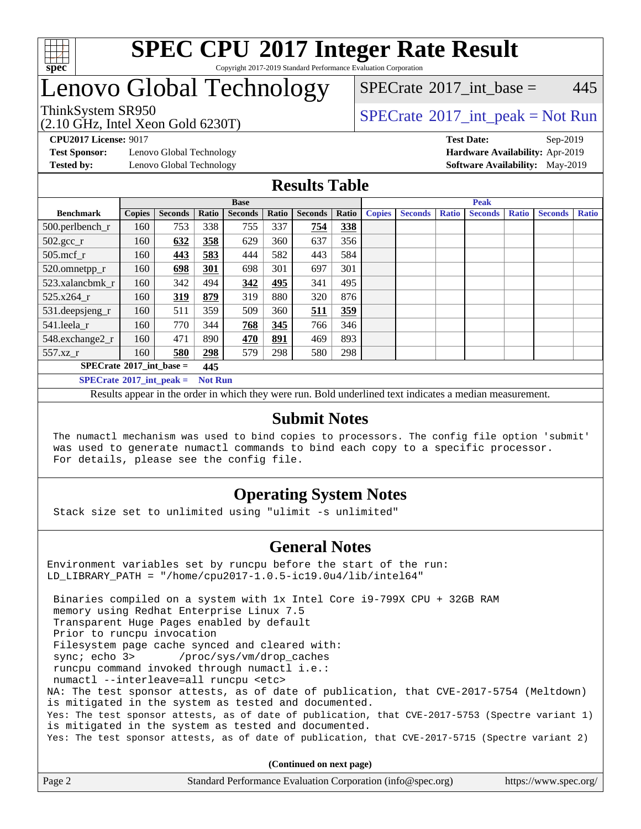

#### **[SPEC CPU](http://www.spec.org/auto/cpu2017/Docs/result-fields.html#SPECCPU2017IntegerRateResult)[2017 Integer Rate Result](http://www.spec.org/auto/cpu2017/Docs/result-fields.html#SPECCPU2017IntegerRateResult)** Copyright 2017-2019 Standard Performance Evaluation Corporation

## Lenovo Global Technology

[SPECrate](http://www.spec.org/auto/cpu2017/Docs/result-fields.html#SPECrate2017intbase)<sup>®</sup>2017 int base = 445

#### (2.10 GHz, Intel Xeon Gold 6230T) ThinkSystem SR950<br>  $SPECTA = Not Run$ <br>  $SPECTA = Not Run$

**[Test Sponsor:](http://www.spec.org/auto/cpu2017/Docs/result-fields.html#TestSponsor)** Lenovo Global Technology **[Hardware Availability:](http://www.spec.org/auto/cpu2017/Docs/result-fields.html#HardwareAvailability)** Apr-2019

**[CPU2017 License:](http://www.spec.org/auto/cpu2017/Docs/result-fields.html#CPU2017License)** 9017 **[Test Date:](http://www.spec.org/auto/cpu2017/Docs/result-fields.html#TestDate)** Sep-2019

**[Tested by:](http://www.spec.org/auto/cpu2017/Docs/result-fields.html#Testedby)** Lenovo Global Technology **[Software Availability:](http://www.spec.org/auto/cpu2017/Docs/result-fields.html#SoftwareAvailability)** May-2019

### **[Results Table](http://www.spec.org/auto/cpu2017/Docs/result-fields.html#ResultsTable)**

|                                   | <b>Base</b>    |                |       |                |            |                |       | <b>Peak</b>   |                |              |                |              |                |              |
|-----------------------------------|----------------|----------------|-------|----------------|------------|----------------|-------|---------------|----------------|--------------|----------------|--------------|----------------|--------------|
| <b>Benchmark</b>                  | <b>Copies</b>  | <b>Seconds</b> | Ratio | <b>Seconds</b> | Ratio      | <b>Seconds</b> | Ratio | <b>Copies</b> | <b>Seconds</b> | <b>Ratio</b> | <b>Seconds</b> | <b>Ratio</b> | <b>Seconds</b> | <b>Ratio</b> |
| 500.perlbench_r                   | 160            | 753            | 338   | 755            | 337        | 754            | 338   |               |                |              |                |              |                |              |
| $502.\text{sec}$                  | 160            | 632            | 358   | 629            | 360        | 637            | 356   |               |                |              |                |              |                |              |
| $505$ .mcf r                      | 160            | 443            | 583   | 444            | 582        | 443            | 584   |               |                |              |                |              |                |              |
| 520.omnetpp_r                     | 160            | 698            | 301   | 698            | 301        | 697            | 301   |               |                |              |                |              |                |              |
| 523.xalancbmk_r                   | 160            | 342            | 494   | 342            | 495        | 341            | 495   |               |                |              |                |              |                |              |
| 525.x264 r                        | 160            | 319            | 879   | 319            | 880        | 320            | 876   |               |                |              |                |              |                |              |
| 531.deepsjeng_r                   | 160            | 511            | 359   | 509            | 360        | 511            | 359   |               |                |              |                |              |                |              |
| 541.leela r                       | 160            | 770            | 344   | 768            | 345        | 766            | 346   |               |                |              |                |              |                |              |
| 548.exchange2_r                   | 160            | 471            | 890   | 470            | <u>891</u> | 469            | 893   |               |                |              |                |              |                |              |
| 557.xz r                          | 160            | 580            | 298   | 579            | 298        | 580            | 298   |               |                |              |                |              |                |              |
| $SPECrate^{\circ}2017$ int base = |                |                | 445   |                |            |                |       |               |                |              |                |              |                |              |
| $SPECrate^{\circ}2017$ int peak = | <b>Not Run</b> |                |       |                |            |                |       |               |                |              |                |              |                |              |

Results appear in the [order in which they were run](http://www.spec.org/auto/cpu2017/Docs/result-fields.html#RunOrder). Bold underlined text [indicates a median measurement](http://www.spec.org/auto/cpu2017/Docs/result-fields.html#Median).

#### **[Submit Notes](http://www.spec.org/auto/cpu2017/Docs/result-fields.html#SubmitNotes)**

 The numactl mechanism was used to bind copies to processors. The config file option 'submit' was used to generate numactl commands to bind each copy to a specific processor. For details, please see the config file.

### **[Operating System Notes](http://www.spec.org/auto/cpu2017/Docs/result-fields.html#OperatingSystemNotes)**

Stack size set to unlimited using "ulimit -s unlimited"

#### **[General Notes](http://www.spec.org/auto/cpu2017/Docs/result-fields.html#GeneralNotes)**

Environment variables set by runcpu before the start of the run: LD\_LIBRARY\_PATH = "/home/cpu2017-1.0.5-ic19.0u4/lib/intel64"

 Binaries compiled on a system with 1x Intel Core i9-799X CPU + 32GB RAM memory using Redhat Enterprise Linux 7.5 Transparent Huge Pages enabled by default Prior to runcpu invocation Filesystem page cache synced and cleared with: sync; echo 3> /proc/sys/vm/drop\_caches runcpu command invoked through numactl i.e.: numactl --interleave=all runcpu <etc> NA: The test sponsor attests, as of date of publication, that CVE-2017-5754 (Meltdown) is mitigated in the system as tested and documented. Yes: The test sponsor attests, as of date of publication, that CVE-2017-5753 (Spectre variant 1) is mitigated in the system as tested and documented. Yes: The test sponsor attests, as of date of publication, that CVE-2017-5715 (Spectre variant 2)

**(Continued on next page)**

| Page 2 | Standard Performance Evaluation Corporation (info@spec.org) | https://www.spec.org/ |
|--------|-------------------------------------------------------------|-----------------------|
|--------|-------------------------------------------------------------|-----------------------|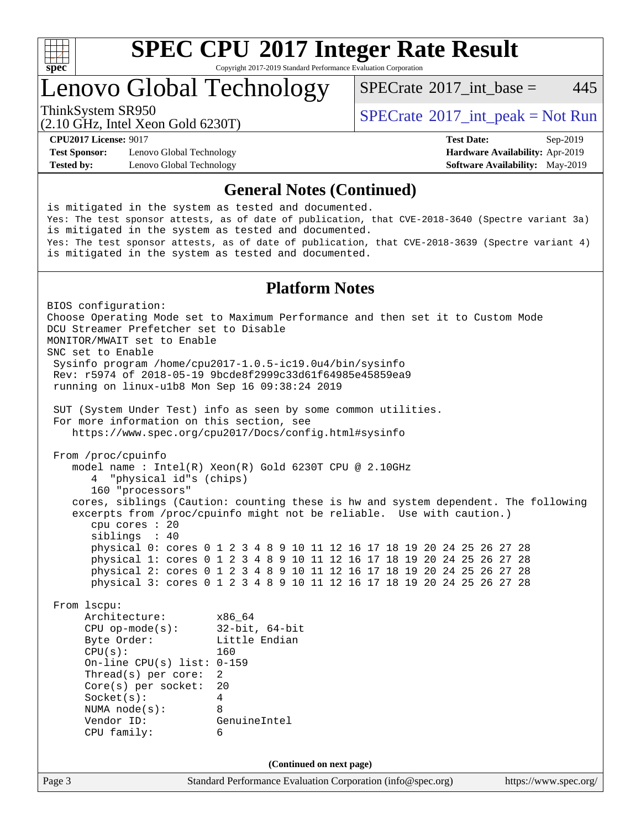

Copyright 2017-2019 Standard Performance Evaluation Corporation

## Lenovo Global Technology

[SPECrate](http://www.spec.org/auto/cpu2017/Docs/result-fields.html#SPECrate2017intbase)<sup>®</sup>2017 int base = 445

(2.10 GHz, Intel Xeon Gold 6230T)

ThinkSystem SR950<br>  $SPECTA = Not Run$ <br>  $SPECTA = Not Run$ 

**[Test Sponsor:](http://www.spec.org/auto/cpu2017/Docs/result-fields.html#TestSponsor)** Lenovo Global Technology **[Hardware Availability:](http://www.spec.org/auto/cpu2017/Docs/result-fields.html#HardwareAvailability)** Apr-2019 **[Tested by:](http://www.spec.org/auto/cpu2017/Docs/result-fields.html#Testedby)** Lenovo Global Technology **[Software Availability:](http://www.spec.org/auto/cpu2017/Docs/result-fields.html#SoftwareAvailability)** May-2019

**[CPU2017 License:](http://www.spec.org/auto/cpu2017/Docs/result-fields.html#CPU2017License)** 9017 **[Test Date:](http://www.spec.org/auto/cpu2017/Docs/result-fields.html#TestDate)** Sep-2019

#### **[General Notes \(Continued\)](http://www.spec.org/auto/cpu2017/Docs/result-fields.html#GeneralNotes)**

Page 3 Standard Performance Evaluation Corporation [\(info@spec.org\)](mailto:info@spec.org) <https://www.spec.org/> is mitigated in the system as tested and documented. Yes: The test sponsor attests, as of date of publication, that CVE-2018-3640 (Spectre variant 3a) is mitigated in the system as tested and documented. Yes: The test sponsor attests, as of date of publication, that CVE-2018-3639 (Spectre variant 4) is mitigated in the system as tested and documented. **[Platform Notes](http://www.spec.org/auto/cpu2017/Docs/result-fields.html#PlatformNotes)** BIOS configuration: Choose Operating Mode set to Maximum Performance and then set it to Custom Mode DCU Streamer Prefetcher set to Disable MONITOR/MWAIT set to Enable SNC set to Enable Sysinfo program /home/cpu2017-1.0.5-ic19.0u4/bin/sysinfo Rev: r5974 of 2018-05-19 9bcde8f2999c33d61f64985e45859ea9 running on linux-u1b8 Mon Sep 16 09:38:24 2019 SUT (System Under Test) info as seen by some common utilities. For more information on this section, see <https://www.spec.org/cpu2017/Docs/config.html#sysinfo> From /proc/cpuinfo model name : Intel(R) Xeon(R) Gold 6230T CPU @ 2.10GHz 4 "physical id"s (chips) 160 "processors" cores, siblings (Caution: counting these is hw and system dependent. The following excerpts from /proc/cpuinfo might not be reliable. Use with caution.) cpu cores : 20 siblings : 40 physical 0: cores 0 1 2 3 4 8 9 10 11 12 16 17 18 19 20 24 25 26 27 28 physical 1: cores 0 1 2 3 4 8 9 10 11 12 16 17 18 19 20 24 25 26 27 28 physical 2: cores 0 1 2 3 4 8 9 10 11 12 16 17 18 19 20 24 25 26 27 28 physical 3: cores 0 1 2 3 4 8 9 10 11 12 16 17 18 19 20 24 25 26 27 28 From lscpu: Architecture: x86\_64 CPU op-mode(s): 32-bit, 64-bit Byte Order: Little Endian CPU(s): 160 On-line CPU(s) list: 0-159 Thread(s) per core: 2 Core(s) per socket: 20 Socket(s): 4 NUMA node(s): 8 Vendor ID: GenuineIntel CPU family: 6 **(Continued on next page)**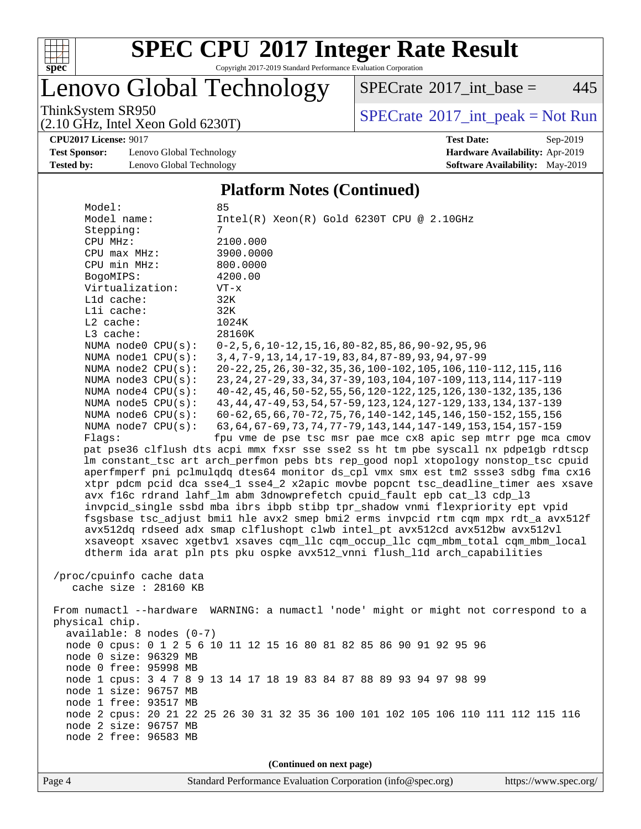

Copyright 2017-2019 Standard Performance Evaluation Corporation

## Lenovo Global Technology

 $SPECrate^{\circ}2017\_int\_base = 445$  $SPECrate^{\circ}2017\_int\_base = 445$ 

(2.10 GHz, Intel Xeon Gold 6230T)

ThinkSystem SR950<br>  $(2.10 \text{ GHz. Intel } X_{200}$  Gold 6230T)

**[Test Sponsor:](http://www.spec.org/auto/cpu2017/Docs/result-fields.html#TestSponsor)** Lenovo Global Technology **[Hardware Availability:](http://www.spec.org/auto/cpu2017/Docs/result-fields.html#HardwareAvailability)** Apr-2019 **[Tested by:](http://www.spec.org/auto/cpu2017/Docs/result-fields.html#Testedby)** Lenovo Global Technology **[Software Availability:](http://www.spec.org/auto/cpu2017/Docs/result-fields.html#SoftwareAvailability)** May-2019

# **[CPU2017 License:](http://www.spec.org/auto/cpu2017/Docs/result-fields.html#CPU2017License)** 9017 **[Test Date:](http://www.spec.org/auto/cpu2017/Docs/result-fields.html#TestDate)** Sep-2019

#### **[Platform Notes \(Continued\)](http://www.spec.org/auto/cpu2017/Docs/result-fields.html#PlatformNotes)**

| Model:                                         | 85                                                                                                                                       |
|------------------------------------------------|------------------------------------------------------------------------------------------------------------------------------------------|
| Model name:                                    | $Intel(R) Xeon(R) Gold 6230T CPU @ 2.10GHz$                                                                                              |
| Stepping:                                      | 7                                                                                                                                        |
| CPU MHz:                                       | 2100.000                                                                                                                                 |
| CPU max MHz:                                   | 3900.0000                                                                                                                                |
| CPU min MHz:                                   | 800.0000                                                                                                                                 |
| BogoMIPS:                                      | 4200.00                                                                                                                                  |
| Virtualization:                                | $VT - x$                                                                                                                                 |
| L1d cache:                                     | 32K                                                                                                                                      |
| Lli cache:                                     | 32K                                                                                                                                      |
| $L2$ cache:                                    | 1024K                                                                                                                                    |
| L3 cache:                                      | 28160K                                                                                                                                   |
| NUMA node0 CPU(s):                             | $0-2, 5, 6, 10-12, 15, 16, 80-82, 85, 86, 90-92, 95, 96$                                                                                 |
| NUMA nodel CPU(s):                             | 3, 4, 7-9, 13, 14, 17-19, 83, 84, 87-89, 93, 94, 97-99                                                                                   |
| NUMA node2 CPU(s):                             | 20-22, 25, 26, 30-32, 35, 36, 100-102, 105, 106, 110-112, 115, 116                                                                       |
| NUMA node3 CPU(s):                             | 23, 24, 27-29, 33, 34, 37-39, 103, 104, 107-109, 113, 114, 117-119                                                                       |
| NUMA node4 CPU(s):<br>NUMA $node5$ CPU $(s)$ : | 40-42, 45, 46, 50-52, 55, 56, 120-122, 125, 126, 130-132, 135, 136                                                                       |
| NUMA node6 $CPU(s):$                           | 43, 44, 47-49, 53, 54, 57-59, 123, 124, 127-129, 133, 134, 137-139<br>60-62, 65, 66, 70-72, 75, 76, 140-142, 145, 146, 150-152, 155, 156 |
| NUMA node7 CPU(s):                             | 63, 64, 67-69, 73, 74, 77-79, 143, 144, 147-149, 153, 154, 157-159                                                                       |
| Flags:                                         | fpu vme de pse tsc msr pae mce cx8 apic sep mtrr pge mca cmov                                                                            |
|                                                | pat pse36 clflush dts acpi mmx fxsr sse sse2 ss ht tm pbe syscall nx pdpelgb rdtscp                                                      |
|                                                | lm constant_tsc art arch_perfmon pebs bts rep_good nopl xtopology nonstop_tsc cpuid                                                      |
|                                                | aperfmperf pni pclmulqdq dtes64 monitor ds_cpl vmx smx est tm2 ssse3 sdbg fma cx16                                                       |
|                                                | xtpr pdcm pcid dca sse4_1 sse4_2 x2apic movbe popcnt tsc_deadline_timer aes xsave                                                        |
|                                                | avx f16c rdrand lahf_lm abm 3dnowprefetch cpuid_fault epb cat_13 cdp_13                                                                  |
|                                                | invpcid_single ssbd mba ibrs ibpb stibp tpr_shadow vnmi flexpriority ept vpid                                                            |
|                                                | fsgsbase tsc_adjust bmil hle avx2 smep bmi2 erms invpcid rtm cqm mpx rdt_a avx512f                                                       |
|                                                | avx512dq rdseed adx smap clflushopt clwb intel_pt avx512cd avx512bw avx512vl                                                             |
|                                                | xsaveopt xsavec xgetbvl xsaves cqm_llc cqm_occup_llc cqm_mbm_total cqm_mbm_local                                                         |
|                                                | dtherm ida arat pln pts pku ospke avx512_vnni flush_lld arch_capabilities                                                                |
|                                                |                                                                                                                                          |
| /proc/cpuinfo cache data                       |                                                                                                                                          |
| cache size : 28160 KB                          |                                                                                                                                          |
|                                                |                                                                                                                                          |
|                                                | From numactl --hardware WARNING: a numactl 'node' might or might not correspond to a                                                     |
| physical chip.                                 |                                                                                                                                          |
| $available: 8 nodes (0-7)$                     |                                                                                                                                          |
|                                                | node 0 cpus: 0 1 2 5 6 10 11 12 15 16 80 81 82 85 86 90 91 92 95 96                                                                      |
| node 0 size: 96329 MB                          |                                                                                                                                          |
| node 0 free: 95998 MB                          |                                                                                                                                          |
|                                                | node 1 cpus: 3 4 7 8 9 13 14 17 18 19 83 84 87 88 89 93 94 97 98 99                                                                      |
| node 1 size: 96757 MB                          |                                                                                                                                          |
| node 1 free: 93517 MB                          |                                                                                                                                          |
| node 2 size: 96757 MB                          | node 2 cpus: 20 21 22 25 26 30 31 32 35 36 100 101 102 105 106 110 111 112 115 116                                                       |
| node 2 free: 96583 MB                          |                                                                                                                                          |
|                                                |                                                                                                                                          |
|                                                |                                                                                                                                          |
|                                                | (Continued on next page)                                                                                                                 |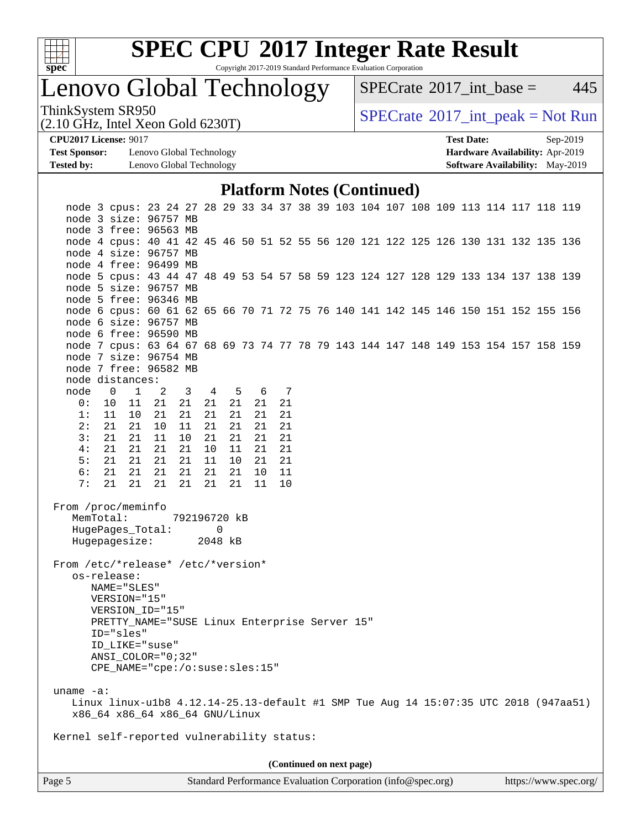

Copyright 2017-2019 Standard Performance Evaluation Corporation

Lenovo Global Technology

 $SPECTate$ <sup>®</sup>[2017\\_int\\_base =](http://www.spec.org/auto/cpu2017/Docs/result-fields.html#SPECrate2017intbase) 445

(2.10 GHz, Intel Xeon Gold 6230T)

ThinkSystem SR950<br>  $(2.10 \text{ GHz. Intel } X_{200}$  Gold 6230T)

**[Test Sponsor:](http://www.spec.org/auto/cpu2017/Docs/result-fields.html#TestSponsor)** Lenovo Global Technology **[Hardware Availability:](http://www.spec.org/auto/cpu2017/Docs/result-fields.html#HardwareAvailability)** Apr-2019 **[Tested by:](http://www.spec.org/auto/cpu2017/Docs/result-fields.html#Testedby)** Lenovo Global Technology **[Software Availability:](http://www.spec.org/auto/cpu2017/Docs/result-fields.html#SoftwareAvailability)** May-2019

**[CPU2017 License:](http://www.spec.org/auto/cpu2017/Docs/result-fields.html#CPU2017License)** 9017 **[Test Date:](http://www.spec.org/auto/cpu2017/Docs/result-fields.html#TestDate)** Sep-2019

#### **[Platform Notes \(Continued\)](http://www.spec.org/auto/cpu2017/Docs/result-fields.html#PlatformNotes)**

|                                                                                                                                                                                                                                                                                                                                                                                                      |                          | node 3 cpus: 23 24 27 28 29 33 34 37 38 39 103 104 107 108 109 113 114 117 118 119 |                |                         |          |          |  |                 |          |  |  |  |  |  |  |
|------------------------------------------------------------------------------------------------------------------------------------------------------------------------------------------------------------------------------------------------------------------------------------------------------------------------------------------------------------------------------------------------------|--------------------------|------------------------------------------------------------------------------------|----------------|-------------------------|----------|----------|--|-----------------|----------|--|--|--|--|--|--|
|                                                                                                                                                                                                                                                                                                                                                                                                      |                          | node 3 size: 96757 MB<br>node 3 free: 96563 MB                                     |                |                         |          |          |  |                 |          |  |  |  |  |  |  |
|                                                                                                                                                                                                                                                                                                                                                                                                      |                          | node 4 cpus: 40 41 42 45 46 50 51 52 55 56 120 121 122 125 126 130 131 132 135 136 |                |                         |          |          |  |                 |          |  |  |  |  |  |  |
|                                                                                                                                                                                                                                                                                                                                                                                                      |                          | node 4 size: 96757 MB                                                              |                |                         |          |          |  |                 |          |  |  |  |  |  |  |
|                                                                                                                                                                                                                                                                                                                                                                                                      |                          | node 4 free: 96499 MB                                                              |                |                         |          |          |  |                 |          |  |  |  |  |  |  |
|                                                                                                                                                                                                                                                                                                                                                                                                      |                          | node 5 cpus: 43 44 47 48 49 53 54 57 58 59 123 124 127 128 129 133 134 137 138 139 |                |                         |          |          |  |                 |          |  |  |  |  |  |  |
|                                                                                                                                                                                                                                                                                                                                                                                                      |                          | node 5 size: 96757 MB                                                              |                |                         |          |          |  |                 |          |  |  |  |  |  |  |
|                                                                                                                                                                                                                                                                                                                                                                                                      |                          | node 5 free: 96346 MB                                                              |                |                         |          |          |  |                 |          |  |  |  |  |  |  |
|                                                                                                                                                                                                                                                                                                                                                                                                      |                          | node 6 cpus: 60 61 62 65 66 70 71 72 75 76 140 141 142 145 146 150 151 152 155 156 |                |                         |          |          |  |                 |          |  |  |  |  |  |  |
|                                                                                                                                                                                                                                                                                                                                                                                                      |                          | node 6 size: 96757 MB                                                              |                |                         |          |          |  |                 |          |  |  |  |  |  |  |
|                                                                                                                                                                                                                                                                                                                                                                                                      |                          | node 6 free: 96590 MB                                                              |                |                         |          |          |  |                 |          |  |  |  |  |  |  |
|                                                                                                                                                                                                                                                                                                                                                                                                      |                          | node 7 cpus: 63 64 67 68 69 73 74 77 78 79 143 144 147 148 149 153 154 157 158 159 |                |                         |          |          |  |                 |          |  |  |  |  |  |  |
|                                                                                                                                                                                                                                                                                                                                                                                                      |                          | node 7 size: 96754 MB                                                              |                |                         |          |          |  |                 |          |  |  |  |  |  |  |
|                                                                                                                                                                                                                                                                                                                                                                                                      |                          | node 7 free: 96582 MB                                                              |                |                         |          |          |  |                 |          |  |  |  |  |  |  |
|                                                                                                                                                                                                                                                                                                                                                                                                      |                          | node distances:                                                                    |                |                         |          |          |  |                 |          |  |  |  |  |  |  |
| node                                                                                                                                                                                                                                                                                                                                                                                                 | $\overline{\phantom{0}}$ | $\mathbf{1}$                                                                       | $\overline{2}$ | $\overline{\mathbf{3}}$ | 4 5      |          |  | 6 7             |          |  |  |  |  |  |  |
| 0:                                                                                                                                                                                                                                                                                                                                                                                                   | 10                       | 11                                                                                 | 21             | 21                      | 21       | 21       |  | 21              | 21       |  |  |  |  |  |  |
| 1:                                                                                                                                                                                                                                                                                                                                                                                                   |                          | 11<br>10                                                                           | 21             | 21                      | 21       | 21       |  | 21              | 21       |  |  |  |  |  |  |
| 2:<br>3:                                                                                                                                                                                                                                                                                                                                                                                             |                          | 21 21                                                                              | 10             | 11                      | 21       | 21       |  | 21              | 21       |  |  |  |  |  |  |
| 4:                                                                                                                                                                                                                                                                                                                                                                                                   |                          | 21<br>21<br>21 21                                                                  | 11<br>21       | 10<br>21                | 21<br>10 | 21<br>11 |  | 21<br>21        | 21<br>21 |  |  |  |  |  |  |
| 5:                                                                                                                                                                                                                                                                                                                                                                                                   |                          | 21 21                                                                              | 21             | 21                      | 11       | $10\,$   |  | 21              | 21       |  |  |  |  |  |  |
| 6:                                                                                                                                                                                                                                                                                                                                                                                                   |                          | 21<br>21                                                                           | 21             | 21                      | 21       | 21       |  | 10 <sub>1</sub> | 11       |  |  |  |  |  |  |
| 7:                                                                                                                                                                                                                                                                                                                                                                                                   |                          | 21<br>21                                                                           | 21             | 21                      | 21       | 21       |  | 11              | 10       |  |  |  |  |  |  |
| From /proc/meminfo<br>MemTotal:<br>792196720 kB<br>HugePages_Total:<br>0<br>Hugepagesize: 2048 kB<br>From /etc/*release* /etc/*version*<br>os-release:<br>NAME="SLES"<br>VERSION="15"<br>VERSION_ID="15"<br>PRETTY_NAME="SUSE Linux Enterprise Server 15"<br>ID="sles"<br>ID_LIKE="suse"<br>ANSI COLOR="0;32"<br>CPE NAME="cpe:/o:suse:sles:15"                                                      |                          |                                                                                    |                |                         |          |          |  |                 |          |  |  |  |  |  |  |
| uname $-a$ :                                                                                                                                                                                                                                                                                                                                                                                         |                          |                                                                                    |                |                         |          |          |  |                 |          |  |  |  |  |  |  |
| Linux linux-ulb8 4.12.14-25.13-default #1 SMP Tue Aug 14 15:07:35 UTC 2018 (947aa51)<br>x86_64 x86_64 x86_64 GNU/Linux                                                                                                                                                                                                                                                                               |                          |                                                                                    |                |                         |          |          |  |                 |          |  |  |  |  |  |  |
| Kernel self-reported vulnerability status:                                                                                                                                                                                                                                                                                                                                                           |                          |                                                                                    |                |                         |          |          |  |                 |          |  |  |  |  |  |  |
|                                                                                                                                                                                                                                                                                                                                                                                                      |                          |                                                                                    |                |                         |          |          |  |                 |          |  |  |  |  |  |  |
| (Continued on next page)<br>$\mathcal{L}_{\text{total}}$ and $\mathcal{D}_{\text{c}}$ formance $\mathcal{L}_{\text{total}}$ (or $\mathcal{L}_{\text{c}}$ (in $\mathcal{L}_{\text{c}}$ (in $\mathcal{L}_{\text{c}}$ (in $\mathcal{L}_{\text{c}}$ (in $\mathcal{L}_{\text{c}}$ (in $\mathcal{L}_{\text{c}}$ (in $\mathcal{L}_{\text{c}}$ (in $\mathcal{L}_{\text{c}}$ (in $\mathcal{L}_{\text{c}}$ (in |                          |                                                                                    |                |                         |          |          |  |                 |          |  |  |  |  |  |  |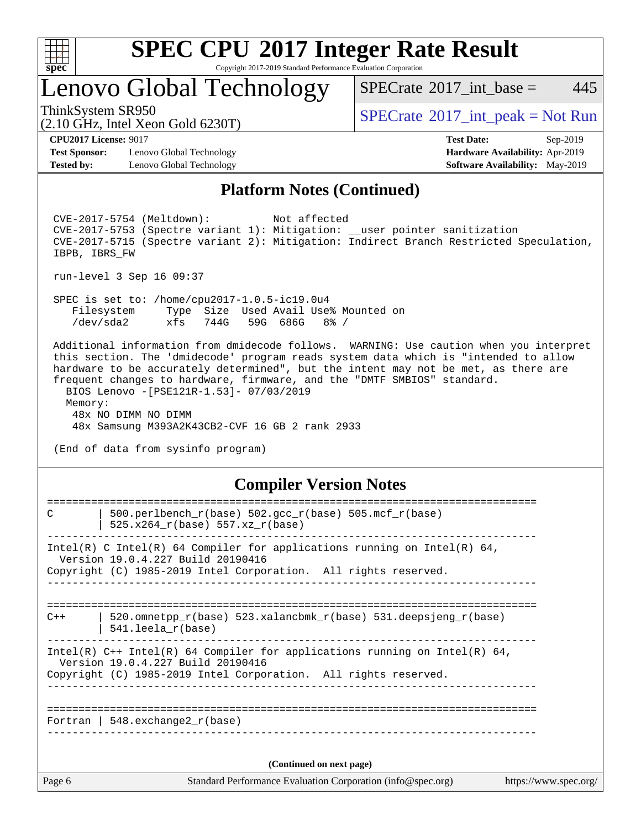

Copyright 2017-2019 Standard Performance Evaluation Corporation

## Lenovo Global Technology

ThinkSystem SR950<br>  $SPECTA = Not Run$ <br>  $SPECTA = Not Run$ 

 $SPECTate@2017\_int\_base = 445$ 

(2.10 GHz, Intel Xeon Gold 6230T) **[CPU2017 License:](http://www.spec.org/auto/cpu2017/Docs/result-fields.html#CPU2017License)** 9017 **[Test Date:](http://www.spec.org/auto/cpu2017/Docs/result-fields.html#TestDate)** Sep-2019

**[Test Sponsor:](http://www.spec.org/auto/cpu2017/Docs/result-fields.html#TestSponsor)** Lenovo Global Technology **[Hardware Availability:](http://www.spec.org/auto/cpu2017/Docs/result-fields.html#HardwareAvailability)** Apr-2019 **[Tested by:](http://www.spec.org/auto/cpu2017/Docs/result-fields.html#Testedby)** Lenovo Global Technology **[Software Availability:](http://www.spec.org/auto/cpu2017/Docs/result-fields.html#SoftwareAvailability)** May-2019

## **[Platform Notes \(Continued\)](http://www.spec.org/auto/cpu2017/Docs/result-fields.html#PlatformNotes)**

 CVE-2017-5754 (Meltdown): Not affected CVE-2017-5753 (Spectre variant 1): Mitigation: \_\_user pointer sanitization CVE-2017-5715 (Spectre variant 2): Mitigation: Indirect Branch Restricted Speculation, IBPB, IBRS\_FW run-level 3 Sep 16 09:37 SPEC is set to: /home/cpu2017-1.0.5-ic19.0u4 Filesystem Type Size Used Avail Use% Mounted on /dev/sda2 xfs 744G 59G 686G 8% / Additional information from dmidecode follows. WARNING: Use caution when you interpret this section. The 'dmidecode' program reads system data which is "intended to allow hardware to be accurately determined", but the intent may not be met, as there are frequent changes to hardware, firmware, and the "DMTF SMBIOS" standard. BIOS Lenovo -[PSE121R-1.53]- 07/03/2019 Memory: 48x NO DIMM NO DIMM 48x Samsung M393A2K43CB2-CVF 16 GB 2 rank 2933 (End of data from sysinfo program) **[Compiler Version Notes](http://www.spec.org/auto/cpu2017/Docs/result-fields.html#CompilerVersionNotes)**

| Page 6 | Standard Performance Evaluation Corporation (info@spec.org)                                                                                                                          | https://www.spec.org/ |
|--------|--------------------------------------------------------------------------------------------------------------------------------------------------------------------------------------|-----------------------|
|        | (Continued on next page)                                                                                                                                                             |                       |
|        | Fortran   $548$ . exchange $2r$ (base)                                                                                                                                               |                       |
|        |                                                                                                                                                                                      |                       |
|        | Intel(R) $C++$ Intel(R) 64 Compiler for applications running on Intel(R) 64,<br>Version 19.0.4.227 Build 20190416<br>Copyright (C) 1985-2019 Intel Corporation. All rights reserved. |                       |
| $C++$  | 520.omnetpp $r(base)$ 523.xalancbmk $r(base)$ 531.deepsjeng $r(base)$<br>$541.$ leela r(base)                                                                                        |                       |
|        | Intel(R) C Intel(R) 64 Compiler for applications running on Intel(R) 64,<br>Version 19.0.4.227 Build 20190416<br>Copyright (C) 1985-2019 Intel Corporation. All rights reserved.     |                       |
| C      | $500. perlbench_r(base) 502. gcc_r(base) 505. mcf_r(base)$<br>$525.x264_r(base) 557.xz_r(base)$                                                                                      |                       |
|        |                                                                                                                                                                                      |                       |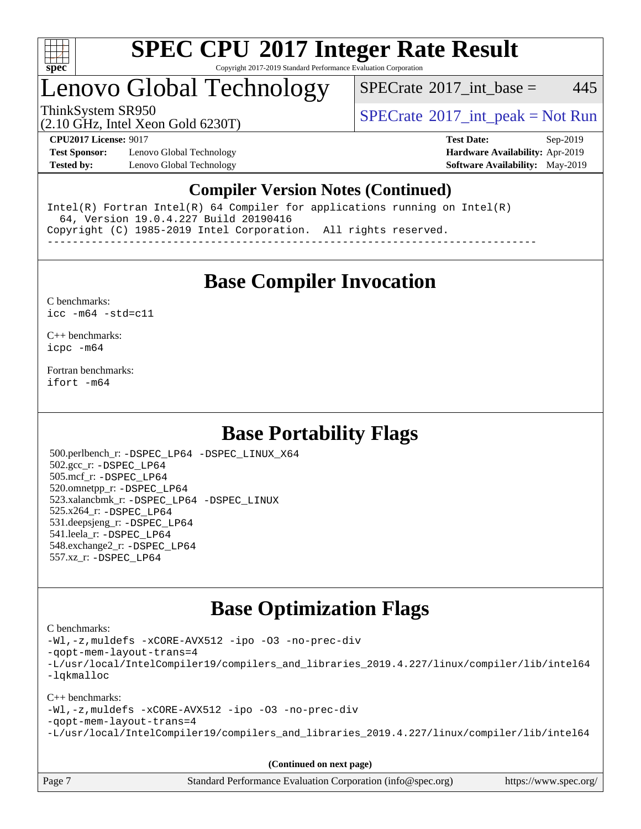

#### **[SPEC CPU](http://www.spec.org/auto/cpu2017/Docs/result-fields.html#SPECCPU2017IntegerRateResult)[2017 Integer Rate Result](http://www.spec.org/auto/cpu2017/Docs/result-fields.html#SPECCPU2017IntegerRateResult)** Copyright 2017-2019 Standard Performance Evaluation Corporation

## Lenovo Global Technology

 $SPECTate$ <sup>®</sup>[2017\\_int\\_base =](http://www.spec.org/auto/cpu2017/Docs/result-fields.html#SPECrate2017intbase) 445

(2.10 GHz, Intel Xeon Gold 6230T)

ThinkSystem SR950<br>  $SPECTA = Not Run$ <br>  $SPECTA = Not Run$ 

**[Test Sponsor:](http://www.spec.org/auto/cpu2017/Docs/result-fields.html#TestSponsor)** Lenovo Global Technology **[Hardware Availability:](http://www.spec.org/auto/cpu2017/Docs/result-fields.html#HardwareAvailability)** Apr-2019 **[Tested by:](http://www.spec.org/auto/cpu2017/Docs/result-fields.html#Testedby)** Lenovo Global Technology **[Software Availability:](http://www.spec.org/auto/cpu2017/Docs/result-fields.html#SoftwareAvailability)** May-2019

**[CPU2017 License:](http://www.spec.org/auto/cpu2017/Docs/result-fields.html#CPU2017License)** 9017 **[Test Date:](http://www.spec.org/auto/cpu2017/Docs/result-fields.html#TestDate)** Sep-2019

### **[Compiler Version Notes \(Continued\)](http://www.spec.org/auto/cpu2017/Docs/result-fields.html#CompilerVersionNotes)**

Intel(R) Fortran Intel(R) 64 Compiler for applications running on Intel(R) 64, Version 19.0.4.227 Build 20190416 Copyright (C) 1985-2019 Intel Corporation. All rights reserved. ------------------------------------------------------------------------------

**[Base Compiler Invocation](http://www.spec.org/auto/cpu2017/Docs/result-fields.html#BaseCompilerInvocation)**

#### [C benchmarks](http://www.spec.org/auto/cpu2017/Docs/result-fields.html#Cbenchmarks): [icc -m64 -std=c11](http://www.spec.org/cpu2017/results/res2019q4/cpu2017-20191028-19292.flags.html#user_CCbase_intel_icc_64bit_c11_33ee0cdaae7deeeab2a9725423ba97205ce30f63b9926c2519791662299b76a0318f32ddfffdc46587804de3178b4f9328c46fa7c2b0cd779d7a61945c91cd35)

[C++ benchmarks:](http://www.spec.org/auto/cpu2017/Docs/result-fields.html#CXXbenchmarks) [icpc -m64](http://www.spec.org/cpu2017/results/res2019q4/cpu2017-20191028-19292.flags.html#user_CXXbase_intel_icpc_64bit_4ecb2543ae3f1412ef961e0650ca070fec7b7afdcd6ed48761b84423119d1bf6bdf5cad15b44d48e7256388bc77273b966e5eb805aefd121eb22e9299b2ec9d9)

[Fortran benchmarks](http://www.spec.org/auto/cpu2017/Docs/result-fields.html#Fortranbenchmarks): [ifort -m64](http://www.spec.org/cpu2017/results/res2019q4/cpu2017-20191028-19292.flags.html#user_FCbase_intel_ifort_64bit_24f2bb282fbaeffd6157abe4f878425411749daecae9a33200eee2bee2fe76f3b89351d69a8130dd5949958ce389cf37ff59a95e7a40d588e8d3a57e0c3fd751)

### **[Base Portability Flags](http://www.spec.org/auto/cpu2017/Docs/result-fields.html#BasePortabilityFlags)**

 500.perlbench\_r: [-DSPEC\\_LP64](http://www.spec.org/cpu2017/results/res2019q4/cpu2017-20191028-19292.flags.html#b500.perlbench_r_basePORTABILITY_DSPEC_LP64) [-DSPEC\\_LINUX\\_X64](http://www.spec.org/cpu2017/results/res2019q4/cpu2017-20191028-19292.flags.html#b500.perlbench_r_baseCPORTABILITY_DSPEC_LINUX_X64) 502.gcc\_r: [-DSPEC\\_LP64](http://www.spec.org/cpu2017/results/res2019q4/cpu2017-20191028-19292.flags.html#suite_basePORTABILITY502_gcc_r_DSPEC_LP64) 505.mcf\_r: [-DSPEC\\_LP64](http://www.spec.org/cpu2017/results/res2019q4/cpu2017-20191028-19292.flags.html#suite_basePORTABILITY505_mcf_r_DSPEC_LP64) 520.omnetpp\_r: [-DSPEC\\_LP64](http://www.spec.org/cpu2017/results/res2019q4/cpu2017-20191028-19292.flags.html#suite_basePORTABILITY520_omnetpp_r_DSPEC_LP64) 523.xalancbmk\_r: [-DSPEC\\_LP64](http://www.spec.org/cpu2017/results/res2019q4/cpu2017-20191028-19292.flags.html#suite_basePORTABILITY523_xalancbmk_r_DSPEC_LP64) [-DSPEC\\_LINUX](http://www.spec.org/cpu2017/results/res2019q4/cpu2017-20191028-19292.flags.html#b523.xalancbmk_r_baseCXXPORTABILITY_DSPEC_LINUX) 525.x264\_r: [-DSPEC\\_LP64](http://www.spec.org/cpu2017/results/res2019q4/cpu2017-20191028-19292.flags.html#suite_basePORTABILITY525_x264_r_DSPEC_LP64) 531.deepsjeng\_r: [-DSPEC\\_LP64](http://www.spec.org/cpu2017/results/res2019q4/cpu2017-20191028-19292.flags.html#suite_basePORTABILITY531_deepsjeng_r_DSPEC_LP64) 541.leela\_r: [-DSPEC\\_LP64](http://www.spec.org/cpu2017/results/res2019q4/cpu2017-20191028-19292.flags.html#suite_basePORTABILITY541_leela_r_DSPEC_LP64) 548.exchange2\_r: [-DSPEC\\_LP64](http://www.spec.org/cpu2017/results/res2019q4/cpu2017-20191028-19292.flags.html#suite_basePORTABILITY548_exchange2_r_DSPEC_LP64) 557.xz\_r: [-DSPEC\\_LP64](http://www.spec.org/cpu2017/results/res2019q4/cpu2017-20191028-19292.flags.html#suite_basePORTABILITY557_xz_r_DSPEC_LP64)

### **[Base Optimization Flags](http://www.spec.org/auto/cpu2017/Docs/result-fields.html#BaseOptimizationFlags)**

#### [C benchmarks](http://www.spec.org/auto/cpu2017/Docs/result-fields.html#Cbenchmarks):

[-Wl,-z,muldefs](http://www.spec.org/cpu2017/results/res2019q4/cpu2017-20191028-19292.flags.html#user_CCbase_link_force_multiple1_b4cbdb97b34bdee9ceefcfe54f4c8ea74255f0b02a4b23e853cdb0e18eb4525ac79b5a88067c842dd0ee6996c24547a27a4b99331201badda8798ef8a743f577) [-xCORE-AVX512](http://www.spec.org/cpu2017/results/res2019q4/cpu2017-20191028-19292.flags.html#user_CCbase_f-xCORE-AVX512) [-ipo](http://www.spec.org/cpu2017/results/res2019q4/cpu2017-20191028-19292.flags.html#user_CCbase_f-ipo) [-O3](http://www.spec.org/cpu2017/results/res2019q4/cpu2017-20191028-19292.flags.html#user_CCbase_f-O3) [-no-prec-div](http://www.spec.org/cpu2017/results/res2019q4/cpu2017-20191028-19292.flags.html#user_CCbase_f-no-prec-div) [-qopt-mem-layout-trans=4](http://www.spec.org/cpu2017/results/res2019q4/cpu2017-20191028-19292.flags.html#user_CCbase_f-qopt-mem-layout-trans_fa39e755916c150a61361b7846f310bcdf6f04e385ef281cadf3647acec3f0ae266d1a1d22d972a7087a248fd4e6ca390a3634700869573d231a252c784941a8) [-L/usr/local/IntelCompiler19/compilers\\_and\\_libraries\\_2019.4.227/linux/compiler/lib/intel64](http://www.spec.org/cpu2017/results/res2019q4/cpu2017-20191028-19292.flags.html#user_CCbase_qkmalloc_link_0ffe0cb02c68ef1b443a077c7888c10c67ca0d1dd7138472156f06a085bbad385f78d49618ad55dca9db3b1608e84afc2f69b4003b1d1ca498a9fc1462ccefda) [-lqkmalloc](http://www.spec.org/cpu2017/results/res2019q4/cpu2017-20191028-19292.flags.html#user_CCbase_qkmalloc_link_lib_79a818439969f771c6bc311cfd333c00fc099dad35c030f5aab9dda831713d2015205805422f83de8875488a2991c0a156aaa600e1f9138f8fc37004abc96dc5)

#### [C++ benchmarks](http://www.spec.org/auto/cpu2017/Docs/result-fields.html#CXXbenchmarks):

[-Wl,-z,muldefs](http://www.spec.org/cpu2017/results/res2019q4/cpu2017-20191028-19292.flags.html#user_CXXbase_link_force_multiple1_b4cbdb97b34bdee9ceefcfe54f4c8ea74255f0b02a4b23e853cdb0e18eb4525ac79b5a88067c842dd0ee6996c24547a27a4b99331201badda8798ef8a743f577) [-xCORE-AVX512](http://www.spec.org/cpu2017/results/res2019q4/cpu2017-20191028-19292.flags.html#user_CXXbase_f-xCORE-AVX512) [-ipo](http://www.spec.org/cpu2017/results/res2019q4/cpu2017-20191028-19292.flags.html#user_CXXbase_f-ipo) [-O3](http://www.spec.org/cpu2017/results/res2019q4/cpu2017-20191028-19292.flags.html#user_CXXbase_f-O3) [-no-prec-div](http://www.spec.org/cpu2017/results/res2019q4/cpu2017-20191028-19292.flags.html#user_CXXbase_f-no-prec-div) [-qopt-mem-layout-trans=4](http://www.spec.org/cpu2017/results/res2019q4/cpu2017-20191028-19292.flags.html#user_CXXbase_f-qopt-mem-layout-trans_fa39e755916c150a61361b7846f310bcdf6f04e385ef281cadf3647acec3f0ae266d1a1d22d972a7087a248fd4e6ca390a3634700869573d231a252c784941a8) [-L/usr/local/IntelCompiler19/compilers\\_and\\_libraries\\_2019.4.227/linux/compiler/lib/intel64](http://www.spec.org/cpu2017/results/res2019q4/cpu2017-20191028-19292.flags.html#user_CXXbase_qkmalloc_link_0ffe0cb02c68ef1b443a077c7888c10c67ca0d1dd7138472156f06a085bbad385f78d49618ad55dca9db3b1608e84afc2f69b4003b1d1ca498a9fc1462ccefda)

**(Continued on next page)**

| Page 7 | Standard Performance Evaluation Corporation (info@spec.org) | https://www.spec.org/ |
|--------|-------------------------------------------------------------|-----------------------|